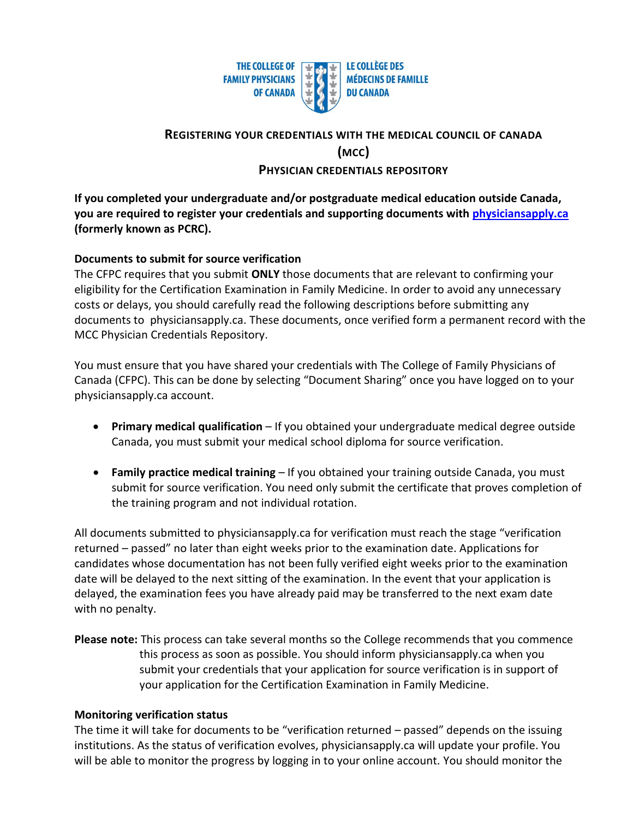

# **REGISTERING YOUR CREDENTIALS WITH THE MEDICAL COUNCIL OF CANADA (MCC) PHYSICIAN CREDENTIALS REPOSITORY**

**If you completed your undergraduate and/or postgraduate medical education outside Canada, you are required to register your credentials and supporting documents with [physiciansapply.ca](http://physiciansapply.ca/) (formerly known as PCRC).** 

## **Documents to submit for source verification**

The CFPC requires that you submit **ONLY** those documents that are relevant to confirming your eligibility for the Certification Examination in Family Medicine. In order to avoid any unnecessary costs or delays, you should carefully read the following descriptions before submitting any documents to physiciansapply.ca. These documents, once verified form a permanent record with the MCC Physician Credentials Repository.

You must ensure that you have shared your credentials with The College of Family Physicians of Canada (CFPC). This can be done by selecting "Document Sharing" once you have logged on to your physiciansapply.ca account.

- **Primary medical qualification** If you obtained your undergraduate medical degree outside Canada, you must submit your medical school diploma for source verification.
- **Family practice medical training** If you obtained your training outside Canada, you must submit for source verification. You need only submit the certificate that proves completion of the training program and not individual rotation.

All documents submitted to physiciansapply.ca for verification must reach the stage "verification returned – passed" no later than eight weeks prior to the examination date. Applications for candidates whose documentation has not been fully verified eight weeks prior to the examination date will be delayed to the next sitting of the examination. In the event that your application is delayed, the examination fees you have already paid may be transferred to the next exam date with no penalty.

**Please note:** This process can take several months so the College recommends that you commence this process as soon as possible. You should inform physiciansapply.ca when you submit your credentials that your application for source verification is in support of your application for the Certification Examination in Family Medicine.

## **Monitoring verification status**

The time it will take for documents to be "verification returned – passed" depends on the issuing institutions. As the status of verification evolves, physiciansapply.ca will update your profile. You will be able to monitor the progress by logging in to your online account. You should monitor the